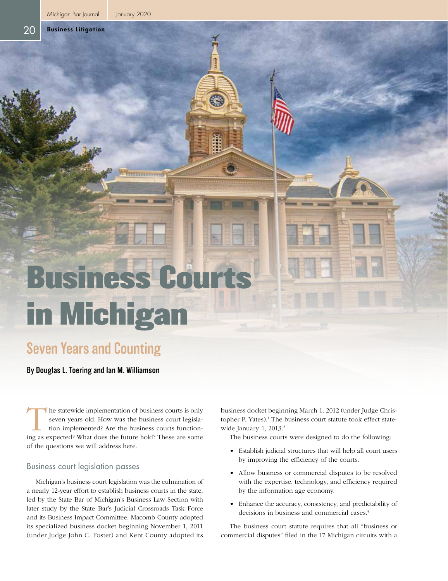Business Litigation

20

# Business Cour in Michigan

# Seven Years and Counting

By Douglas L. Toering and Ian M. Williamson

The statewide implementation of business courts is only<br>seven years old. How was the business court legisla-<br>tion implemented? Are the business courts function-<br>ing as expected? What does the future hold? These are some seven years old. How was the business court legislation implemented? Are the business courts functioning as expected? What does the future hold? These are some of the questions we will address here.

#### Business court legislation passes

Michigan's business court legislation was the culmination of a nearly 12-year effort to establish business courts in the state, led by the State Bar of Michigan's Business Law Section with later study by the State Bar's Judicial Crossroads Task Force and its Business Impact Committee. Macomb County adopted its specialized business docket beginning November 1, 2011 (under Judge John C. Foster) and Kent County adopted its business docket beginning March 1, 2012 (under Judge Christopher P. Yates).<sup>1</sup> The business court statute took effect statewide January 1, 2013.<sup>2</sup>

The business courts were designed to do the following:

- Establish judicial structures that will help all court users by improving the efficiency of the courts.
- Allow business or commercial disputes to be resolved with the expertise, technology, and efficiency required by the information age economy.
- Enhance the accuracy, consistency, and predictability of decisions in business and commercial cases.<sup>3</sup>

The business court statute requires that all "business or commercial disputes" filed in the 17 Michigan circuits with a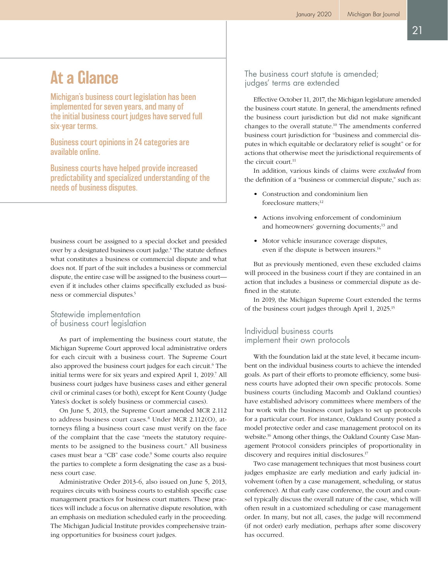# At a Glance

Michigan's business court legislation has been implemented for seven years, and many of the initial business court judges have served full six-year terms.

Business court opinions in 24 categories are available online.

Business courts have helped provide increased predictability and specialized understanding of the needs of business disputes.

business court be assigned to a special docket and presided over by a designated business court judge.<sup>4</sup> The statute defines what constitutes a business or commercial dispute and what does not. If part of the suit includes a business or commercial dispute, the entire case will be assigned to the business court even if it includes other claims specifically excluded as business or commercial disputes.5

#### Statewide implementation of business court legislation

As part of implementing the business court statute, the Michigan Supreme Court approved local administrative orders for each circuit with a business court. The Supreme Court also approved the business court judges for each circuit.<sup>6</sup> The initial terms were for six years and expired April 1, 2019.<sup>7</sup> All business court judges have business cases and either general civil or criminal cases (or both), except for Kent County (Judge Yates's docket is solely business or commercial cases).

On June 5, 2013, the Supreme Court amended MCR 2.112 to address business court cases.<sup>8</sup> Under MCR 2.112(O), attorneys filing a business court case must verify on the face of the complaint that the case "meets the statutory requirements to be assigned to the business court." All business cases must bear a "CB" case code.<sup>9</sup> Some courts also require the parties to complete a form designating the case as a business court case.

Administrative Order 2013-6, also issued on June 5, 2013, requires circuits with business courts to establish specific case management practices for business court matters. These practices will include a focus on alternative dispute resolution, with an emphasis on mediation scheduled early in the proceeding. The Michigan Judicial Institute provides comprehensive training opportunities for business court judges.

The business court statute is amended; judges' terms are extended

Effective October 11, 2017, the Michigan legislature amended the business court statute. In general, the amendments refined the business court jurisdiction but did not make significant changes to the overall statute.10 The amendments conferred business court jurisdiction for "business and commercial disputes in which equitable or declaratory relief is sought" or for actions that otherwise meet the jurisdictional requirements of the circuit court $11$ 

In addition, various kinds of claims were *excluded* from the definition of a "business or commercial dispute," such as:

- Construction and condominium lien foreclosure matters:<sup>12</sup>
- Actions involving enforcement of condominium and homeowners' governing documents;<sup>13</sup> and
- Motor vehicle insurance coverage disputes, even if the dispute is between insurers.<sup>14</sup>

But as previously mentioned, even these excluded claims will proceed in the business court if they are contained in an action that includes a business or commercial dispute as defined in the statute.

In 2019, the Michigan Supreme Court extended the terms of the business court judges through April 1, 2025.15

### Individual business courts implement their own protocols

With the foundation laid at the state level, it became incumbent on the individual business courts to achieve the intended goals. As part of their efforts to promote efficiency, some business courts have adopted their own specific protocols. Some business courts (including Macomb and Oakland counties) have established advisory committees where members of the bar work with the business court judges to set up protocols for a particular court. For instance, Oakland County posted a model protective order and case management protocol on its website.16 Among other things, the Oakland County Case Management Protocol considers principles of proportionality in discovery and requires initial disclosures.17

Two case management techniques that most business court judges emphasize are early mediation and early judicial involvement (often by a case management, scheduling, or status conference). At that early case conference, the court and counsel typically discuss the overall nature of the case, which will often result in a customized scheduling or case management order. In many, but not all, cases, the judge will recommend (if not order) early mediation, perhaps after some discovery has occurred.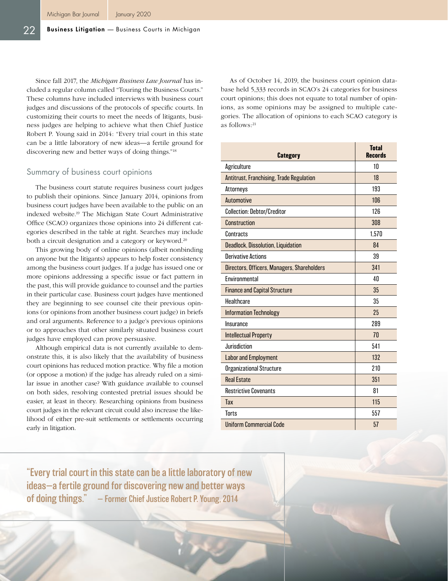Since fall 2017, the *Michigan Business Law Journal* has included a regular column called "Touring the Business Courts." These columns have included interviews with business court judges and discussions of the protocols of specific courts. In customizing their courts to meet the needs of litigants, business judges are helping to achieve what then Chief Justice Robert P. Young said in 2014: "Every trial court in this state can be a little laboratory of new ideas—a fertile ground for discovering new and better ways of doing things."18

#### Summary of business court opinions

The business court statute requires business court judges to publish their opinions. Since January 2014, opinions from business court judges have been available to the public on an indexed website.19 The Michigan State Court Administrative Office (SCAO) organizes those opinions into 24 different categories described in the table at right. Searches may include both a circuit designation and a category or keyword.<sup>20</sup>

This growing body of online opinions (albeit nonbinding on anyone but the litigants) appears to help foster consistency among the business court judges. If a judge has issued one or more opinions addressing a specific issue or fact pattern in the past, this will provide guidance to counsel and the parties in their particular case. Business court judges have mentioned they are beginning to see counsel cite their previous opinions (or opinions from another business court judge) in briefs and oral arguments. Reference to a judge's previous opinions or to approaches that other similarly situated business court judges have employed can prove persuasive.

Although empirical data is not currently available to demonstrate this, it is also likely that the availability of business court opinions has reduced motion practice. Why file a motion (or oppose a motion) if the judge has already ruled on a similar issue in another case? With guidance available to counsel on both sides, resolving contested pretrial issues should be easier, at least in theory. Researching opinions from business court judges in the relevant circuit could also increase the likelihood of either pre-suit settlements or settlements occurring early in litigation.

As of October 14, 2019, the business court opinion database held 5,333 records in SCAO's 24 categories for business court opinions; this does not equate to total number of opinions, as some opinions may be assigned to multiple categories. The allocation of opinions to each SCAO category is as follows:<sup>21</sup>

| Category                                        | <b>Total</b><br><b>Records</b> |
|-------------------------------------------------|--------------------------------|
| Agriculture                                     | 10                             |
| <b>Antitrust, Franchising, Trade Regulation</b> | 18                             |
| Attorneys                                       | 193                            |
| <b>Automotive</b>                               | 106                            |
| <b>Collection: Debtor/Creditor</b>              | 126                            |
| Construction                                    | 308                            |
| Contracts                                       | 1,570                          |
| <b>Deadlock, Dissolution, Liquidation</b>       | 84                             |
| <b>Derivative Actions</b>                       | 39                             |
| Directors, Officers, Managers, Shareholders     | 341                            |
| Environmental                                   | 40                             |
| <b>Finance and Capital Structure</b>            | 35                             |
| Healthcare                                      | 35                             |
| <b>Information Technology</b>                   | 25                             |
| Insurance                                       | 289                            |
| <b>Intellectual Property</b>                    | 70                             |
| Jurisdiction                                    | 541                            |
| <b>Labor and Employment</b>                     | 132                            |
| <b>Organizational Structure</b>                 | 210                            |
| <b>Real Estate</b>                              | 351                            |
| <b>Restrictive Covenants</b>                    | 81                             |
| Tax                                             | 115                            |
| <b>Torts</b>                                    | 557                            |
| <b>Uniform Commercial Code</b>                  | 57                             |

"Every trial court in this state can be a little laboratory of new ideas—a fertile ground for discovering new and better ways of doing things." — Former Chief Justice Robert P. Young, 2014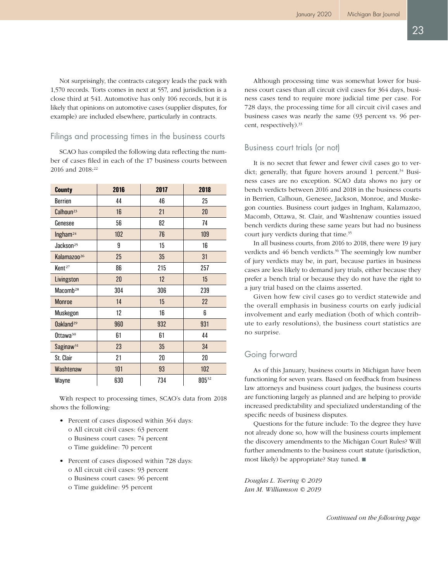Not surprisingly, the contracts category leads the pack with 1,570 records. Torts comes in next at 557, and jurisdiction is a close third at 541. Automotive has only 106 records, but it is likely that opinions on automotive cases (supplier disputes, for example) are included elsewhere, particularly in contracts.

#### Filings and processing times in the business courts

SCAO has compiled the following data reflecting the number of cases filed in each of the 17 business courts between 2016 and 2018:<sup>22</sup>

| County                  | 2016 | 2017 | 2018       |
|-------------------------|------|------|------------|
| <b>Berrien</b>          | 44   | 46   | 25         |
| Calhoun <sup>23</sup>   | 16   | 21   | 20         |
| Genesee                 | 56   | 82   | 74         |
| Ingham <sup>24</sup>    | 102  | 76   | 109        |
| Jackson <sup>25</sup>   | 9    | 15   | 16         |
| Kalamazoo <sup>26</sup> | 25   | 35   | 31         |
| Kent <sup>27</sup>      | 86   | 215  | 257        |
| Livingston              | 20   | 12   | 15         |
| Macomb <sup>28</sup>    | 304  | 306  | 239        |
| <b>Monroe</b>           | 14   | 15   | 22         |
| Muskegon                | 12   | 16   | 6          |
| Oakland <sup>29</sup>   | 960  | 932  | 931        |
| Ottawa <sup>30</sup>    | 61   | 61   | 44         |
| Saginaw <sup>31</sup>   | 23   | 35   | 34         |
| St. Clair               | 21   | 20   | 20         |
| Washtenaw               | 101  | 93   | 102        |
| Wayne                   | 630  | 734  | $805^{32}$ |

With respect to processing times, SCAO's data from 2018 shows the following:

- Percent of cases disposed within 364 days:
	- o All circuit civil cases: 63 percent
	- o Business court cases: 74 percent
	- o Time guideline: 70 percent
- Percent of cases disposed within 728 days: o All circuit civil cases: 93 percent
	- o Business court cases: 96 percent
	- o Time guideline: 95 percent

Although processing time was somewhat lower for business court cases than all circuit civil cases for 364 days, business cases tend to require more judicial time per case. For 728 days, the processing time for all circuit civil cases and business cases was nearly the same (93 percent vs. 96 percent, respectively).<sup>33</sup>

## Business court trials (or not)

It is no secret that fewer and fewer civil cases go to verdict; generally, that figure hovers around 1 percent.<sup>34</sup> Business cases are no exception. SCAO data shows no jury or bench verdicts between 2016 and 2018 in the business courts in Berrien, Calhoun, Genesee, Jackson, Monroe, and Muskegon counties. Business court judges in Ingham, Kalamazoo, Macomb, Ottawa, St. Clair, and Washtenaw counties issued bench verdicts during these same years but had no business court jury verdicts during that time.35

In all business courts, from 2016 to 2018, there were 19 jury verdicts and 46 bench verdicts.<sup>36</sup> The seemingly low number of jury verdicts may be, in part, because parties in business cases are less likely to demand jury trials, either because they prefer a bench trial or because they do not have the right to a jury trial based on the claims asserted.

Given how few civil cases go to verdict statewide and the overall emphasis in business courts on early judicial involvement and early mediation (both of which contribute to early resolutions), the business court statistics are no surprise.

## Going forward

As of this January, business courts in Michigan have been functioning for seven years. Based on feedback from business law attorneys and business court judges, the business courts are functioning largely as planned and are helping to provide increased predictability and specialized understanding of the specific needs of business disputes.

Questions for the future include: To the degree they have not already done so, how will the business courts implement the discovery amendments to the Michigan Court Rules? Will further amendments to the business court statute (jurisdiction, most likely) be appropriate? Stay tuned.  $\blacksquare$ 

*Douglas L. Toering © 2019 Ian M. Williamson © 2019*